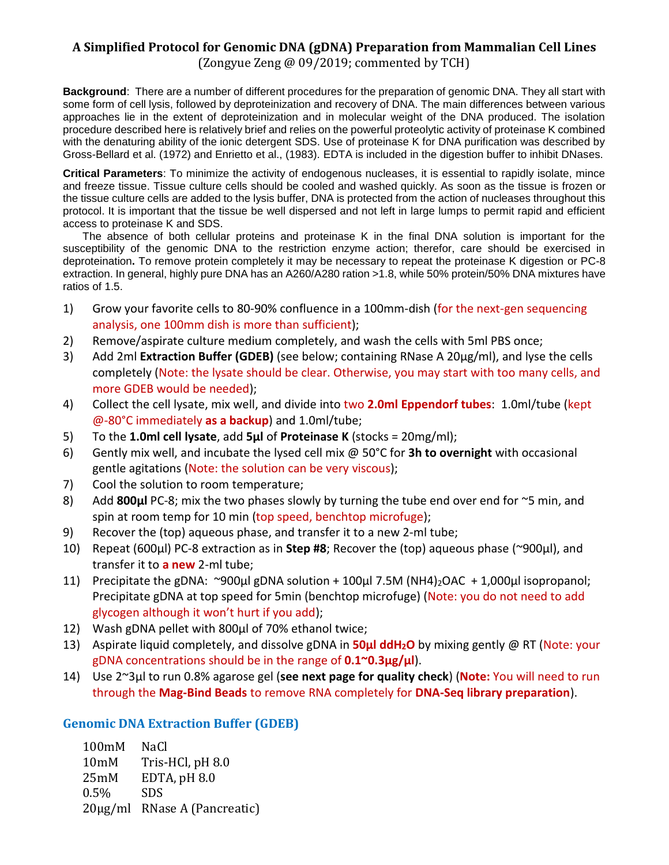### **A Simplified Protocol for Genomic DNA (gDNA) Preparation from Mammalian Cell Lines**

(Zongyue Zeng @ 09/2019; commented by TCH)

**Background**: There are a number of different procedures for the preparation of genomic DNA. They all start with some form of cell lysis, followed by deproteinization and recovery of DNA. The main differences between various approaches lie in the extent of deproteinization and in molecular weight of the DNA produced. The isolation procedure described here is relatively brief and relies on the powerful proteolytic activity of proteinase K combined with the denaturing ability of the ionic detergent SDS. Use of proteinase K for DNA purification was described by Gross-Bellard et al. (1972) and Enrietto et al., (1983). EDTA is included in the digestion buffer to inhibit DNases.

**Critical Parameters**: To minimize the activity of endogenous nucleases, it is essential to rapidly isolate, mince and freeze tissue. Tissue culture cells should be cooled and washed quickly. As soon as the tissue is frozen or the tissue culture cells are added to the lysis buffer, DNA is protected from the action of nucleases throughout this protocol. It is important that the tissue be well dispersed and not left in large lumps to permit rapid and efficient access to proteinase K and SDS.

The absence of both cellular proteins and proteinase K in the final DNA solution is important for the susceptibility of the genomic DNA to the restriction enzyme action; therefor, care should be exercised in deproteination**.** To remove protein completely it may be necessary to repeat the proteinase K digestion or PC-8 extraction. In general, highly pure DNA has an A260/A280 ration >1.8, while 50% protein/50% DNA mixtures have ratios of 1.5.

- 1) Grow your favorite cells to 80-90% confluence in a 100mm-dish (for the next-gen sequencing analysis, one 100mm dish is more than sufficient);
- 2) Remove/aspirate culture medium completely, and wash the cells with 5ml PBS once;
- 3) Add 2ml **Extraction Buffer (GDEB)** (see below; containing RNase A 20µg/ml), and lyse the cells completely (Note: the lysate should be clear. Otherwise, you may start with too many cells, and more GDEB would be needed);
- 4) Collect the cell lysate, mix well, and divide into two **2.0ml Eppendorf tubes**: 1.0ml/tube (kept @-80°C immediately **as a backup**) and 1.0ml/tube;
- 5) To the **1.0ml cell lysate**, add **5µl** of **Proteinase K** (stocks = 20mg/ml);
- 6) Gently mix well, and incubate the lysed cell mix @ 50°C for **3h to overnight** with occasional gentle agitations (Note: the solution can be very viscous);
- 7) Cool the solution to room temperature;
- 8) Add **800µl** PC-8; mix the two phases slowly by turning the tube end over end for ~5 min, and spin at room temp for 10 min (top speed, benchtop microfuge);
- 9) Recover the (top) aqueous phase, and transfer it to a new 2-ml tube;
- 10) Repeat (600µl) PC-8 extraction as in **Step #8**; Recover the (top) aqueous phase (~900µl), and transfer it to **a new** 2-ml tube;
- 11) Precipitate the gDNA: ~900µl gDNA solution + 100µl 7.5M (NH4)<sub>2</sub>OAC + 1,000µl isopropanol; Precipitate gDNA at top speed for 5min (benchtop microfuge) (Note: you do not need to add glycogen although it won't hurt if you add);
- 12) Wash gDNA pellet with 800µl of 70% ethanol twice;
- 13) Aspirate liquid completely, and dissolve gDNA in **50µl ddH2O** by mixing gently @ RT (Note: your gDNA concentrations should be in the range of **0.1~0.3µg/µl**).
- 14) Use 2~3µl to run 0.8% agarose gel (**see next page for quality check**) (**Note:** You will need to run through the **Mag-Bind Beads** to remove RNA completely for **DNA-Seq library preparation**).

#### **Genomic DNA Extraction Buffer (GDEB)**

100mM NaCl 10mM Tris-HCl, pH 8.0 25mM EDTA, pH 8.0 0.5% SDS 20µg/ml RNase A (Pancreatic)